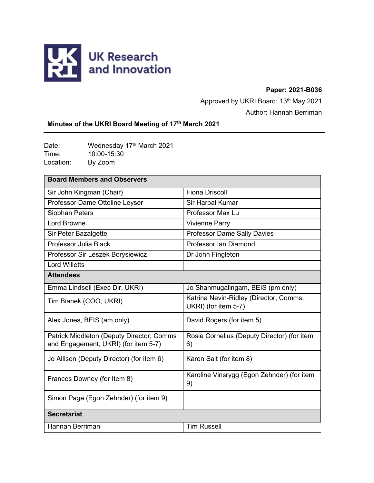

# **Paper: 2021-B036**

Approved by UKRI Board: 13<sup>th</sup> May 2021

Author: Hannah Berriman

# **Minutes of the UKRI Board Meeting of 17th March 2021**

Date: Wednesday 17<sup>th</sup> March 2021 Time: 10:00-15:30<br>
Location: By Zoom By Zoom

| <b>Board Members and Observers</b>                                                |                                                                |
|-----------------------------------------------------------------------------------|----------------------------------------------------------------|
| Sir John Kingman (Chair)                                                          | <b>Fiona Driscoll</b>                                          |
| Professor Dame Ottoline Leyser                                                    | Sir Harpal Kumar                                               |
| Siobhan Peters                                                                    | Professor Max Lu                                               |
| <b>Lord Browne</b>                                                                | <b>Vivienne Parry</b>                                          |
| Sir Peter Bazalgette                                                              | <b>Professor Dame Sally Davies</b>                             |
| Professor Julia Black                                                             | Professor Ian Diamond                                          |
| Professor Sir Leszek Borysiewicz                                                  | Dr John Fingleton                                              |
| <b>Lord Willetts</b>                                                              |                                                                |
| <b>Attendees</b>                                                                  |                                                                |
| Emma Lindsell (Exec Dir, UKRI)                                                    | Jo Shanmugalingam, BEIS (pm only)                              |
| Tim Bianek (COO, UKRI)                                                            | Katrina Nevin-Ridley (Director, Comms,<br>UKRI) (for item 5-7) |
| Alex Jones, BEIS (am only)                                                        | David Rogers (for item 5)                                      |
| Patrick Middleton (Deputy Director, Comms<br>and Engagement, UKRI) (for item 5-7) | Rosie Cornelius (Deputy Director) (for item<br>6)              |
| Jo Allison (Deputy Director) (for item 6)                                         | Karen Salt (for item 8)                                        |
| Frances Downey (for Item 8)                                                       | Karoline Vinsrygg (Egon Zehnder) (for item<br>9)               |
| Simon Page (Egon Zehnder) (for item 9)                                            |                                                                |
| <b>Secretariat</b>                                                                |                                                                |
| Hannah Berriman                                                                   | <b>Tim Russell</b>                                             |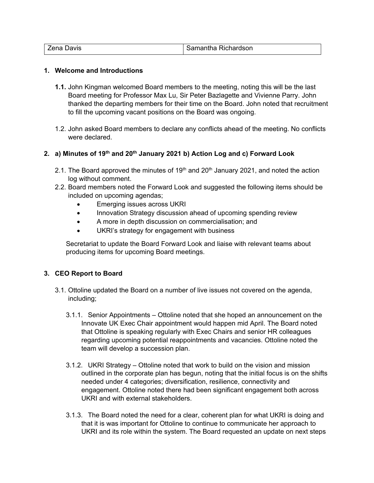| -     | ichardson   |
|-------|-------------|
| Javis | <b>RICI</b> |
| ---   | samanına    |

#### **1. Welcome and Introductions**

- **1.1.** John Kingman welcomed Board members to the meeting, noting this will be the last Board meeting for Professor Max Lu, Sir Peter Bazlagette and Vivienne Parry. John thanked the departing members for their time on the Board. John noted that recruitment to fill the upcoming vacant positions on the Board was ongoing.
- 1.2. John asked Board members to declare any conflicts ahead of the meeting. No conflicts were declared.

# **2. a) Minutes of 19th and 20th January 2021 b) Action Log and c) Forward Look**

- 2.1. The Board approved the minutes of  $19<sup>th</sup>$  and  $20<sup>th</sup>$  January 2021, and noted the action log without comment.
- 2.2. Board members noted the Forward Look and suggested the following items should be included on upcoming agendas;
	- Emerging issues across UKRI
	- Innovation Strategy discussion ahead of upcoming spending review
	- A more in depth discussion on commercialisation; and
	- UKRI's strategy for engagement with business

Secretariat to update the Board Forward Look and liaise with relevant teams about producing items for upcoming Board meetings.

#### **3. CEO Report to Board**

- 3.1. Ottoline updated the Board on a number of live issues not covered on the agenda, including;
	- 3.1.1. Senior Appointments Ottoline noted that she hoped an announcement on the Innovate UK Exec Chair appointment would happen mid April. The Board noted that Ottoline is speaking regularly with Exec Chairs and senior HR colleagues regarding upcoming potential reappointments and vacancies. Ottoline noted the team will develop a succession plan.
	- 3.1.2. UKRI Strategy Ottoline noted that work to build on the vision and mission outlined in the corporate plan has begun, noting that the initial focus is on the shifts needed under 4 categories; diversification, resilience, connectivity and engagement. Ottoline noted there had been significant engagement both across UKRI and with external stakeholders.
	- 3.1.3. The Board noted the need for a clear, coherent plan for what UKRI is doing and that it is was important for Ottoline to continue to communicate her approach to UKRI and its role within the system. The Board requested an update on next steps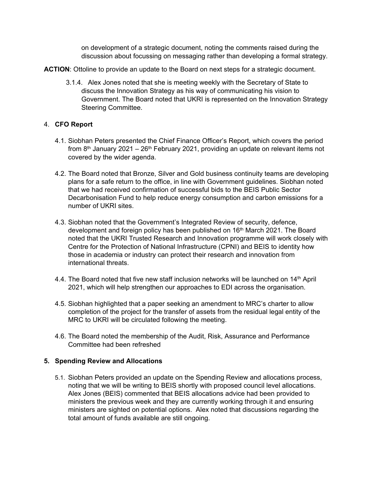on development of a strategic document, noting the comments raised during the discussion about focussing on messaging rather than developing a formal strategy.

- **ACTION**: Ottoline to provide an update to the Board on next steps for a strategic document.
	- 3.1.4. Alex Jones noted that she is meeting weekly with the Secretary of State to discuss the Innovation Strategy as his way of communicating his vision to Government. The Board noted that UKRI is represented on the Innovation Strategy Steering Committee.

#### 4. **CFO Report**

- 4.1. Siobhan Peters presented the Chief Finance Officer's Report, which covers the period from  $8<sup>th</sup>$  January 2021 – 26<sup>th</sup> February 2021, providing an update on relevant items not covered by the wider agenda.
- 4.2. The Board noted that Bronze, Silver and Gold business continuity teams are developing plans for a safe return to the office, in line with Government guidelines. Siobhan noted that we had received confirmation of successful bids to the BEIS Public Sector Decarbonisation Fund to help reduce energy consumption and carbon emissions for a number of UKRI sites.
- 4.3. Siobhan noted that the Government's Integrated Review of security, defence, development and foreign policy has been published on 16<sup>th</sup> March 2021. The Board noted that the UKRI Trusted Research and Innovation programme will work closely with Centre for the Protection of National Infrastructure (CPNI) and BEIS to identity how those in academia or industry can protect their research and innovation from international threats.
- 4.4. The Board noted that five new staff inclusion networks will be launched on 14<sup>th</sup> April 2021, which will help strengthen our approaches to EDI across the organisation.
- 4.5. Siobhan highlighted that a paper seeking an amendment to MRC's charter to allow completion of the project for the transfer of assets from the residual legal entity of the MRC to UKRI will be circulated following the meeting.
- 4.6. The Board noted the membership of the Audit, Risk, Assurance and Performance Committee had been refreshed

#### **5. Spending Review and Allocations**

5.1. Siobhan Peters provided an update on the Spending Review and allocations process, noting that we will be writing to BEIS shortly with proposed council level allocations. Alex Jones (BEIS) commented that BEIS allocations advice had been provided to ministers the previous week and they are currently working through it and ensuring ministers are sighted on potential options. Alex noted that discussions regarding the total amount of funds available are still ongoing.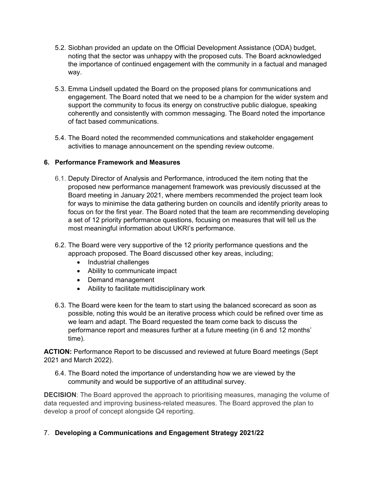- 5.2. Siobhan provided an update on the Official Development Assistance (ODA) budget, noting that the sector was unhappy with the proposed cuts. The Board acknowledged the importance of continued engagement with the community in a factual and managed way.
- 5.3. Emma Lindsell updated the Board on the proposed plans for communications and engagement. The Board noted that we need to be a champion for the wider system and support the community to focus its energy on constructive public dialogue, speaking coherently and consistently with common messaging. The Board noted the importance of fact based communications.
- 5.4. The Board noted the recommended communications and stakeholder engagement activities to manage announcement on the spending review outcome.

# **6. Performance Framework and Measures**

- 6.1. Deputy Director of Analysis and Performance, introduced the item noting that the proposed new performance management framework was previously discussed at the Board meeting in January 2021, where members recommended the project team look for ways to minimise the data gathering burden on councils and identify priority areas to focus on for the first year. The Board noted that the team are recommending developing a set of 12 priority performance questions, focusing on measures that will tell us the most meaningful information about UKRI's performance.
- 6.2. The Board were very supportive of the 12 priority performance questions and the approach proposed. The Board discussed other key areas, including;
	- Industrial challenges
	- Ability to communicate impact
	- Demand management
	- Ability to facilitate multidisciplinary work
- 6.3. The Board were keen for the team to start using the balanced scorecard as soon as possible, noting this would be an iterative process which could be refined over time as we learn and adapt. The Board requested the team come back to discuss the performance report and measures further at a future meeting (in 6 and 12 months' time).

**ACTION:** Performance Report to be discussed and reviewed at future Board meetings (Sept 2021 and March 2022).

6.4. The Board noted the importance of understanding how we are viewed by the community and would be supportive of an attitudinal survey.

**DECISION:** The Board approved the approach to prioritising measures, managing the volume of data requested and improving business-related measures. The Board approved the plan to develop a proof of concept alongside Q4 reporting.

7. **Developing a Communications and Engagement Strategy 2021/22**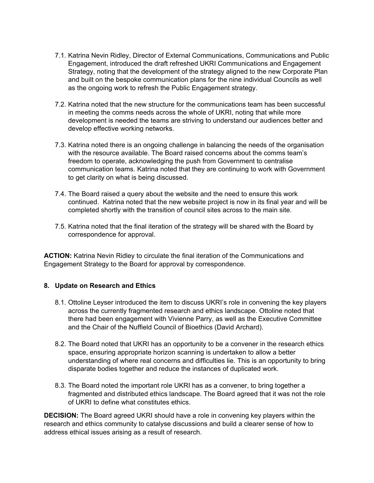- 7.1. Katrina Nevin Ridley, Director of External Communications, Communications and Public Engagement, introduced the draft refreshed UKRI Communications and Engagement Strategy, noting that the development of the strategy aligned to the new Corporate Plan and built on the bespoke communication plans for the nine individual Councils as well as the ongoing work to refresh the Public Engagement strategy.
- 7.2. Katrina noted that the new structure for the communications team has been successful in meeting the comms needs across the whole of UKRI, noting that while more development is needed the teams are striving to understand our audiences better and develop effective working networks.
- 7.3. Katrina noted there is an ongoing challenge in balancing the needs of the organisation with the resource available. The Board raised concerns about the comms team's freedom to operate, acknowledging the push from Government to centralise communication teams. Katrina noted that they are continuing to work with Government to get clarity on what is being discussed.
- 7.4. The Board raised a query about the website and the need to ensure this work continued. Katrina noted that the new website project is now in its final year and will be completed shortly with the transition of council sites across to the main site.
- 7.5. Katrina noted that the final iteration of the strategy will be shared with the Board by correspondence for approval.

**ACTION:** Katrina Nevin Ridley to circulate the final iteration of the Communications and Engagement Strategy to the Board for approval by correspondence.

#### **8. Update on Research and Ethics**

- 8.1. Ottoline Leyser introduced the item to discuss UKRI's role in convening the key players across the currently fragmented research and ethics landscape. Ottoline noted that there had been engagement with Vivienne Parry, as well as the Executive Committee and the Chair of the Nuffield Council of Bioethics (David Archard).
- 8.2. The Board noted that UKRI has an opportunity to be a convener in the research ethics space, ensuring appropriate horizon scanning is undertaken to allow a better understanding of where real concerns and difficulties lie. This is an opportunity to bring disparate bodies together and reduce the instances of duplicated work.
- 8.3. The Board noted the important role UKRI has as a convener, to bring together a fragmented and distributed ethics landscape. The Board agreed that it was not the role of UKRI to define what constitutes ethics.

**DECISION:** The Board agreed UKRI should have a role in convening key players within the research and ethics community to catalyse discussions and build a clearer sense of how to address ethical issues arising as a result of research.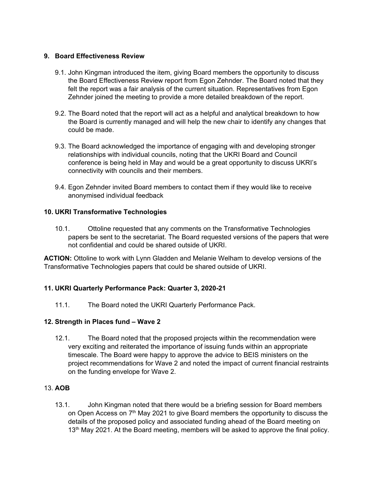#### **9. Board Effectiveness Review**

- 9.1. John Kingman introduced the item, giving Board members the opportunity to discuss the Board Effectiveness Review report from Egon Zehnder. The Board noted that they felt the report was a fair analysis of the current situation. Representatives from Egon Zehnder joined the meeting to provide a more detailed breakdown of the report.
- 9.2. The Board noted that the report will act as a helpful and analytical breakdown to how the Board is currently managed and will help the new chair to identify any changes that could be made.
- 9.3. The Board acknowledged the importance of engaging with and developing stronger relationships with individual councils, noting that the UKRI Board and Council conference is being held in May and would be a great opportunity to discuss UKRI's connectivity with councils and their members.
- 9.4. Egon Zehnder invited Board members to contact them if they would like to receive anonymised individual feedback

# **10. UKRI Transformative Technologies**

10.1. Ottoline requested that any comments on the Transformative Technologies papers be sent to the secretariat. The Board requested versions of the papers that were not confidential and could be shared outside of UKRI.

**ACTION:** Ottoline to work with Lynn Gladden and Melanie Welham to develop versions of the Transformative Technologies papers that could be shared outside of UKRI.

# **11. UKRI Quarterly Performance Pack: Quarter 3, 2020-21**

11.1. The Board noted the UKRI Quarterly Performance Pack.

#### **12. Strength in Places fund – Wave 2**

12.1. The Board noted that the proposed projects within the recommendation were very exciting and reiterated the importance of issuing funds within an appropriate timescale. The Board were happy to approve the advice to BEIS ministers on the project recommendations for Wave 2 and noted the impact of current financial restraints on the funding envelope for Wave 2.

#### 13. **AOB**

13.1. John Kingman noted that there would be a briefing session for Board members on Open Access on 7th May 2021 to give Board members the opportunity to discuss the details of the proposed policy and associated funding ahead of the Board meeting on 13<sup>th</sup> May 2021. At the Board meeting, members will be asked to approve the final policy.